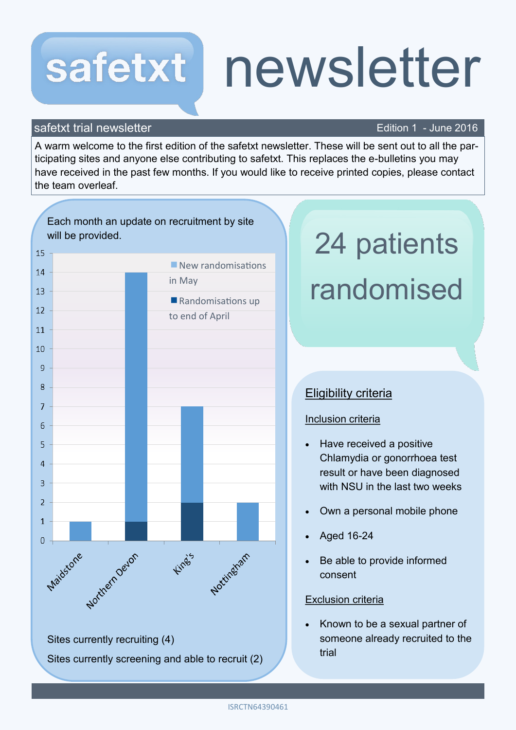## newsletter safetxt

#### safetxt trial newsletter **Edition 1** - June 2016

A warm welcome to the first edition of the safetxt newsletter. These will be sent out to all the participating sites and anyone else contributing to safetxt. This replaces the e-bulletins you may have received in the past few months. If you would like to receive printed copies, please contact the team overleaf.



# 24 patients randomised

### Eligibility criteria

#### Inclusion criteria

- Have received a positive Chlamydia or gonorrhoea test result or have been diagnosed with NSU in the last two weeks
- Own a personal mobile phone
- Aged 16-24
- Be able to provide informed consent

#### Exclusion criteria

 Known to be a sexual partner of someone already recruited to the trial